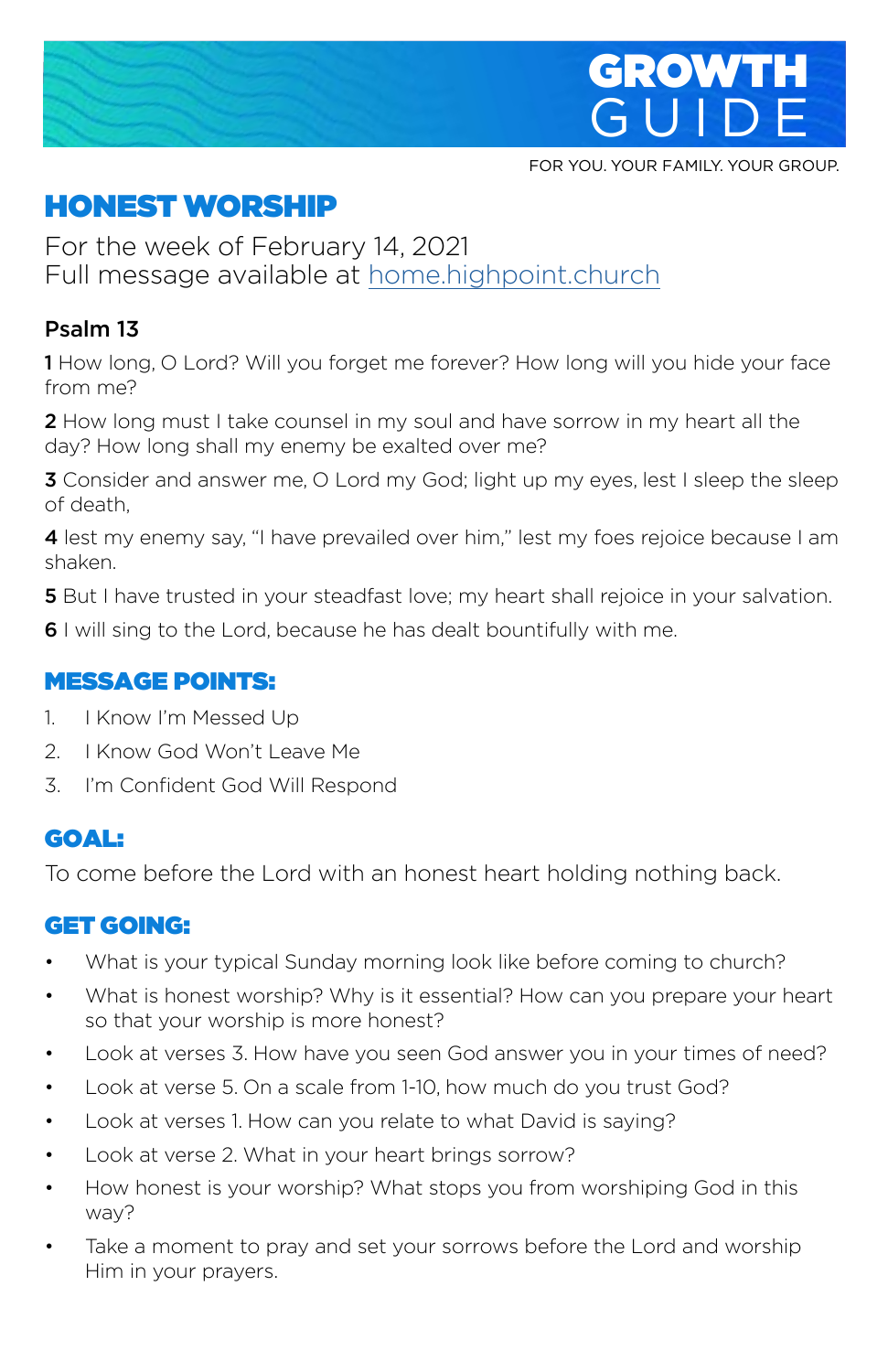

FOR YOU. YOUR FAMILY. YOUR GROUP.

# HONEST WORSHIP

For the week of February 14, 2021 Full message available at home.highpoint.church

## Psalm 13

1 How long, O Lord? Will you forget me forever? How long will you hide your face from me?

2 How long must I take counsel in my soul and have sorrow in my heart all the day? How long shall my enemy be exalted over me?

**3** Consider and answer me, O Lord my God; light up my eyes, lest I sleep the sleep of death,

4 lest my enemy say, "I have prevailed over him," lest my foes rejoice because I am shaken.

**5** But I have trusted in your steadfast love; my heart shall rejoice in your salvation.

6 I will sing to the Lord, because he has dealt bountifully with me.

#### MESSAGE POINTS:

- 1. I Know I'm Messed Up
- 2. I Know God Won't Leave Me
- 3. I'm Confident God Will Respond

#### GOAL:

To come before the Lord with an honest heart holding nothing back.

#### GET GOING:

- What is your typical Sunday morning look like before coming to church?
- What is honest worship? Why is it essential? How can you prepare your heart so that your worship is more honest?
- Look at verses 3. How have you seen God answer you in your times of need?
- Look at verse 5. On a scale from 1-10, how much do you trust God?
- Look at verses 1. How can you relate to what David is saying?
- Look at verse 2. What in your heart brings sorrow?
- How honest is your worship? What stops you from worshiping God in this way?
- Take a moment to pray and set your sorrows before the Lord and worship Him in your prayers.